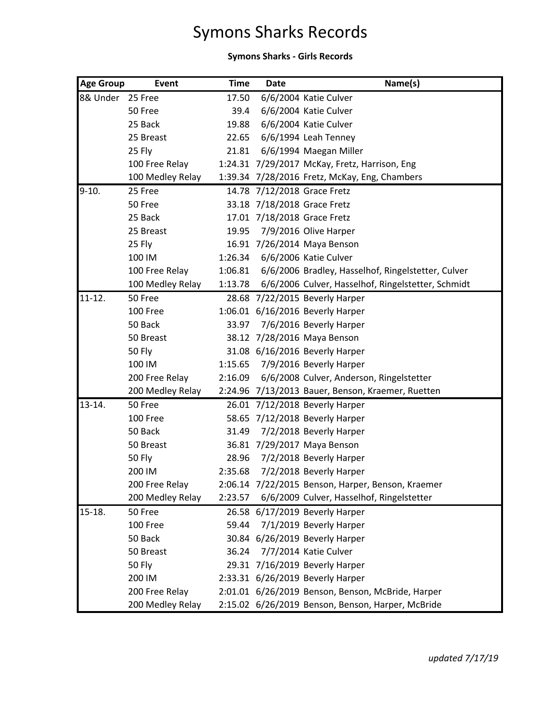## Symons Sharks Records

## **Symons Sharks - Girls Records**

| <b>Age Group</b> | <b>Event</b>     | <b>Time</b> | <b>Date</b> | Name(s)                                            |
|------------------|------------------|-------------|-------------|----------------------------------------------------|
| 8& Under         | 25 Free          | 17.50       |             | 6/6/2004 Katie Culver                              |
|                  | 50 Free          | 39.4        |             | 6/6/2004 Katie Culver                              |
|                  | 25 Back          | 19.88       |             | 6/6/2004 Katie Culver                              |
|                  | 25 Breast        | 22.65       |             | 6/6/1994 Leah Tenney                               |
|                  | 25 Fly           | 21.81       |             | 6/6/1994 Maegan Miller                             |
|                  | 100 Free Relay   |             |             | 1:24.31 7/29/2017 McKay, Fretz, Harrison, Eng      |
|                  | 100 Medley Relay |             |             | 1:39.34 7/28/2016 Fretz, McKay, Eng, Chambers      |
| $9-10.$          | 25 Free          |             |             | 14.78 7/12/2018 Grace Fretz                        |
|                  | 50 Free          |             |             | 33.18 7/18/2018 Grace Fretz                        |
|                  | 25 Back          |             |             | 17.01 7/18/2018 Grace Fretz                        |
|                  | 25 Breast        | 19.95       |             | 7/9/2016 Olive Harper                              |
|                  | 25 Fly           |             |             | 16.91 7/26/2014 Maya Benson                        |
|                  | 100 IM           | 1:26.34     |             | 6/6/2006 Katie Culver                              |
|                  | 100 Free Relay   | 1:06.81     |             | 6/6/2006 Bradley, Hasselhof, Ringelstetter, Culver |
|                  | 100 Medley Relay | 1:13.78     |             | 6/6/2006 Culver, Hasselhof, Ringelstetter, Schmidt |
| $11 - 12.$       | 50 Free          |             |             | 28.68 7/22/2015 Beverly Harper                     |
|                  | 100 Free         |             |             | 1:06.01 6/16/2016 Beverly Harper                   |
|                  | 50 Back          | 33.97       |             | 7/6/2016 Beverly Harper                            |
|                  | 50 Breast        |             |             | 38.12 7/28/2016 Maya Benson                        |
|                  | <b>50 Fly</b>    |             |             | 31.08 6/16/2016 Beverly Harper                     |
|                  | 100 IM           | 1:15.65     |             | 7/9/2016 Beverly Harper                            |
|                  | 200 Free Relay   | 2:16.09     |             | 6/6/2008 Culver, Anderson, Ringelstetter           |
|                  | 200 Medley Relay |             |             | 2:24.96 7/13/2013 Bauer, Benson, Kraemer, Ruetten  |
| $13 - 14.$       | 50 Free          |             |             | 26.01 7/12/2018 Beverly Harper                     |
|                  | 100 Free         |             |             | 58.65 7/12/2018 Beverly Harper                     |
|                  | 50 Back          | 31.49       |             | 7/2/2018 Beverly Harper                            |
|                  | 50 Breast        |             |             | 36.81 7/29/2017 Maya Benson                        |
|                  | 50 Fly           | 28.96       |             | 7/2/2018 Beverly Harper                            |
|                  | 200 IM           | 2:35.68     |             | 7/2/2018 Beverly Harper                            |
|                  | 200 Free Relay   |             |             | 2:06.14 7/22/2015 Benson, Harper, Benson, Kraemer  |
|                  | 200 Medley Relay | 2:23.57     |             | 6/6/2009 Culver, Hasselhof, Ringelstetter          |
| 15-18.           | 50 Free          |             |             | 26.58 6/17/2019 Beverly Harper                     |
|                  | 100 Free         | 59.44       |             | 7/1/2019 Beverly Harper                            |
|                  | 50 Back          |             |             | 30.84 6/26/2019 Beverly Harper                     |
|                  | 50 Breast        | 36.24       |             | 7/7/2014 Katie Culver                              |
|                  | <b>50 Fly</b>    |             |             | 29.31 7/16/2019 Beverly Harper                     |
|                  | 200 IM           |             |             | 2:33.31 6/26/2019 Beverly Harper                   |
|                  | 200 Free Relay   |             |             | 2:01.01 6/26/2019 Benson, Benson, McBride, Harper  |
|                  | 200 Medley Relay |             |             | 2:15.02 6/26/2019 Benson, Benson, Harper, McBride  |